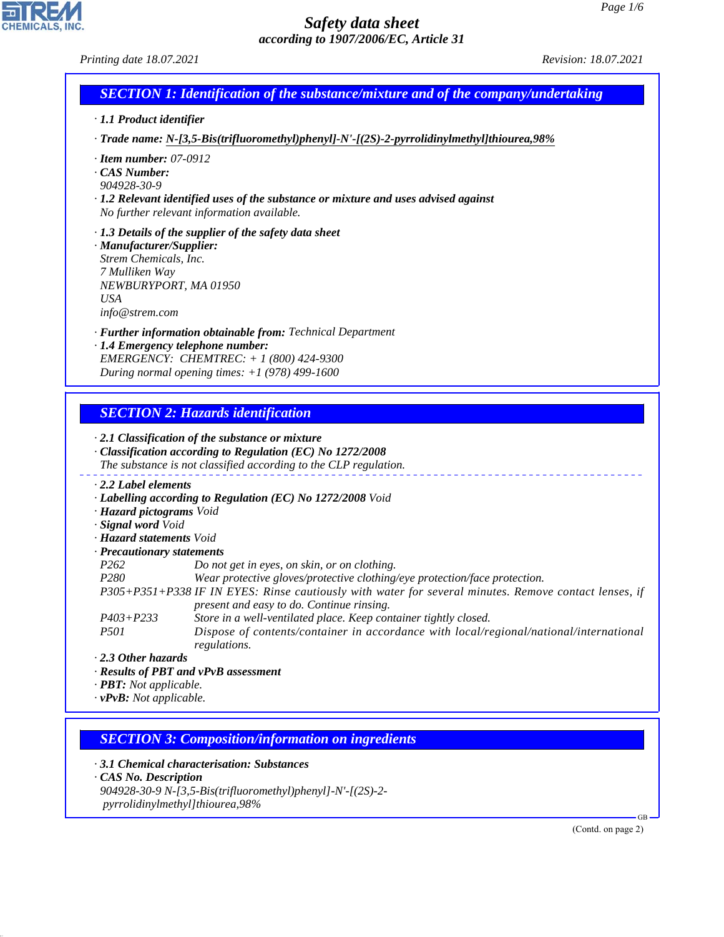*Printing date 18.07.2021 Revision: 18.07.2021*

| <b>SECTION 1: Identification of the substance/mixture and of the company/undertaking</b> |
|------------------------------------------------------------------------------------------|
|                                                                                          |

*· 1.1 Product identifier*

*· Trade name: N-[3,5-Bis(trifluoromethyl)phenyl]-N'-[(2S)-2-pyrrolidinylmethyl]thiourea,98%*

*· Item number: 07-0912*

*· CAS Number:*

*904928-30-9*

- *· 1.2 Relevant identified uses of the substance or mixture and uses advised against No further relevant information available.*
- *· 1.3 Details of the supplier of the safety data sheet · Manufacturer/Supplier:*
- *Strem Chemicals, Inc. 7 Mulliken Way NEWBURYPORT, MA 01950 USA info@strem.com*
- *· Further information obtainable from: Technical Department*
- *· 1.4 Emergency telephone number: EMERGENCY: CHEMTREC: + 1 (800) 424-9300 During normal opening times: +1 (978) 499-1600*

# *SECTION 2: Hazards identification*

### *· 2.1 Classification of the substance or mixture · Classification according to Regulation (EC) No 1272/2008 The substance is not classified according to the CLP regulation. · 2.2 Label elements · Labelling according to Regulation (EC) No 1272/2008 Void · Hazard pictograms Void · Signal word Void · Hazard statements Void · Precautionary statements P262 Do not get in eyes, on skin, or on clothing. P280 Wear protective gloves/protective clothing/eye protection/face protection. P305+P351+P338 IF IN EYES: Rinse cautiously with water for several minutes. Remove contact lenses, if present and easy to do. Continue rinsing. P403+P233 Store in a well-ventilated place. Keep container tightly closed. P501 Dispose of contents/container in accordance with local/regional/national/international regulations.*

*· 2.3 Other hazards*

*· Results of PBT and vPvB assessment*

*· PBT: Not applicable.*

*· vPvB: Not applicable.*

## *SECTION 3: Composition/information on ingredients*

*· 3.1 Chemical characterisation: Substances*

*· CAS No. Description*

44.1.1

*904928-30-9 N-[3,5-Bis(trifluoromethyl)phenyl]-N'-[(2S)-2 pyrrolidinylmethyl]thiourea,98%*

(Contd. on page 2)

GB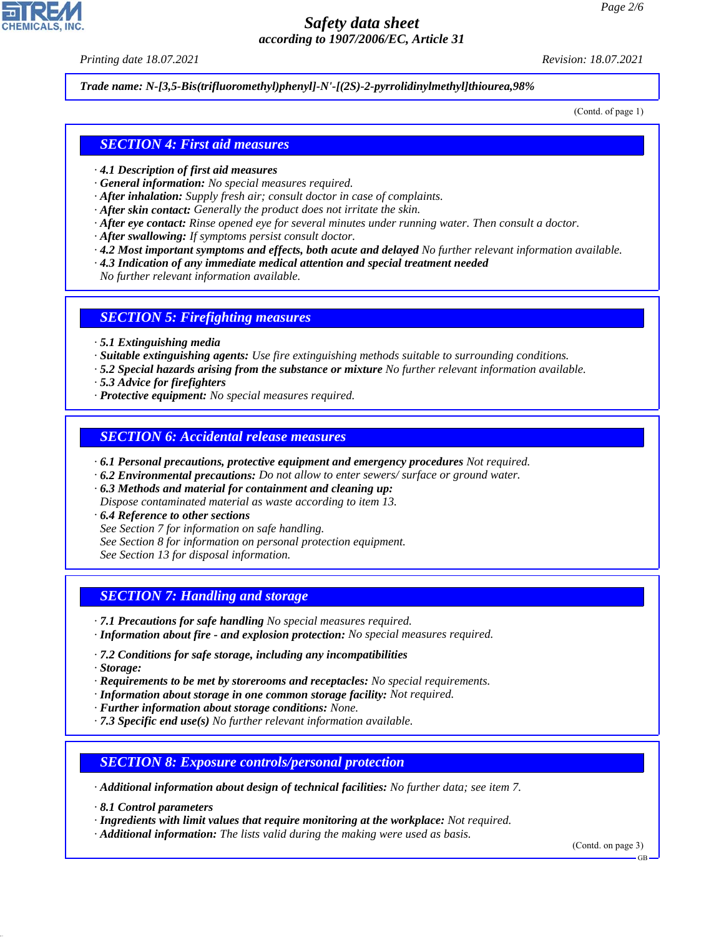*Printing date 18.07.2021 Revision: 18.07.2021*

*Trade name: N-[3,5-Bis(trifluoromethyl)phenyl]-N'-[(2S)-2-pyrrolidinylmethyl]thiourea,98%*

(Contd. of page 1)

### *SECTION 4: First aid measures*

- *· 4.1 Description of first aid measures*
- *· General information: No special measures required.*
- *· After inhalation: Supply fresh air; consult doctor in case of complaints.*
- *· After skin contact: Generally the product does not irritate the skin.*
- *· After eye contact: Rinse opened eye for several minutes under running water. Then consult a doctor.*
- *· After swallowing: If symptoms persist consult doctor.*
- *· 4.2 Most important symptoms and effects, both acute and delayed No further relevant information available.*
- *· 4.3 Indication of any immediate medical attention and special treatment needed*
- *No further relevant information available.*

#### *SECTION 5: Firefighting measures*

- *· 5.1 Extinguishing media*
- *· Suitable extinguishing agents: Use fire extinguishing methods suitable to surrounding conditions.*
- *· 5.2 Special hazards arising from the substance or mixture No further relevant information available.*
- *· 5.3 Advice for firefighters*
- *· Protective equipment: No special measures required.*

#### *SECTION 6: Accidental release measures*

- *· 6.1 Personal precautions, protective equipment and emergency procedures Not required.*
- *· 6.2 Environmental precautions: Do not allow to enter sewers/ surface or ground water.*
- *· 6.3 Methods and material for containment and cleaning up: Dispose contaminated material as waste according to item 13.*
- *· 6.4 Reference to other sections*
- *See Section 7 for information on safe handling.*
- *See Section 8 for information on personal protection equipment.*
- *See Section 13 for disposal information.*

## *SECTION 7: Handling and storage*

- *· 7.1 Precautions for safe handling No special measures required.*
- *· Information about fire and explosion protection: No special measures required.*
- *· 7.2 Conditions for safe storage, including any incompatibilities*
- *· Storage:*

44.1.1

- *· Requirements to be met by storerooms and receptacles: No special requirements.*
- *· Information about storage in one common storage facility: Not required.*
- *· Further information about storage conditions: None.*
- *· 7.3 Specific end use(s) No further relevant information available.*

## *SECTION 8: Exposure controls/personal protection*

*· Additional information about design of technical facilities: No further data; see item 7.*

*· 8.1 Control parameters*

*· Ingredients with limit values that require monitoring at the workplace: Not required.*

*· Additional information: The lists valid during the making were used as basis.*

(Contd. on page 3)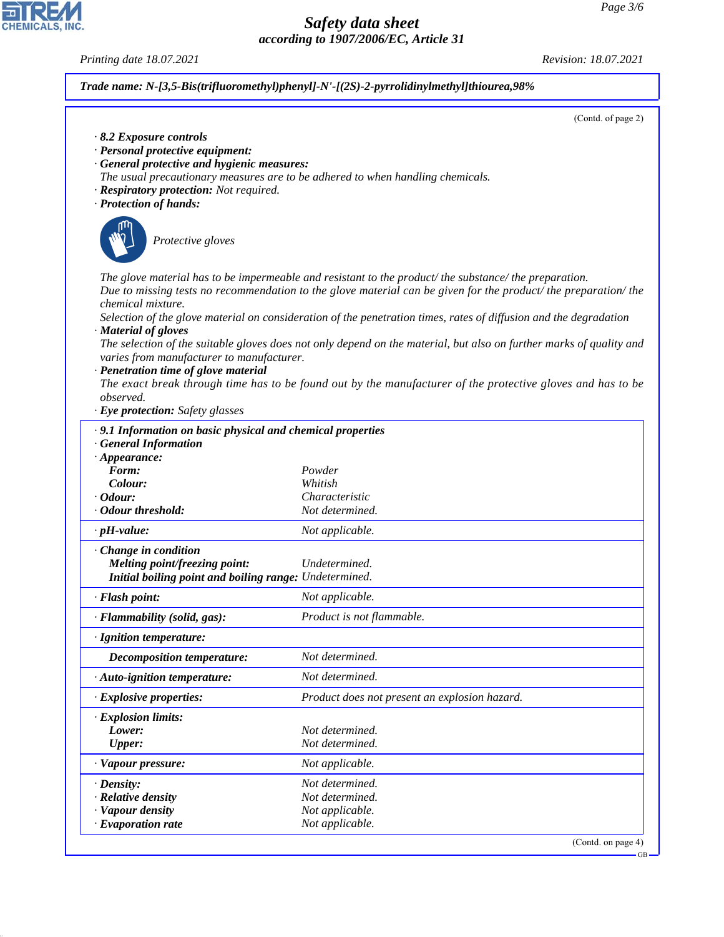*Printing date 18.07.2021 Revision: 18.07.2021*

*· Personal protective equipment:*

(Contd. of page 2)

*Trade name: N-[3,5-Bis(trifluoromethyl)phenyl]-N'-[(2S)-2-pyrrolidinylmethyl]thiourea,98% · 8.2 Exposure controls*

*· General protective and hygienic measures: The usual precautionary measures are to be adhered to when handling chemicals. · Respiratory protection: Not required. · Protection of hands:* \_S*Protective gloves The glove material has to be impermeable and resistant to the product/ the substance/ the preparation. Due to missing tests no recommendation to the glove material can be given for the product/ the preparation/ the chemical mixture. Selection of the glove material on consideration of the penetration times, rates of diffusion and the degradation · Material of gloves The selection of the suitable gloves does not only depend on the material, but also on further marks of quality and varies from manufacturer to manufacturer. · Penetration time of glove material The exact break through time has to be found out by the manufacturer of the protective gloves and has to be observed. · Eye protection: Safety glasses · 9.1 Information on basic physical and chemical properties · General Information · Appearance: Form: Powder*  $Color:$ *· Odour: Characteristic · Odour threshold: Not determined. · pH-value: Not applicable. · Change in condition Melting point/freezing point: Undetermined. Initial boiling point and boiling range: Undetermined. · Flash point: Not applicable. · Flammability (solid, gas): Product is not flammable. · Ignition temperature: Decomposition temperature: Not determined. · Auto-ignition temperature: Not determined. · Explosive properties: Product does not present an explosion hazard. · Explosion limits: Lower: Not determined. Upper: Not determined. · Vapour pressure: Not applicable. · Density: Not determined. · Relative density Not determined. · Vapour density Not applicable. · Evaporation rate Not applicable.* (Contd. on page 4) GB



44.1.1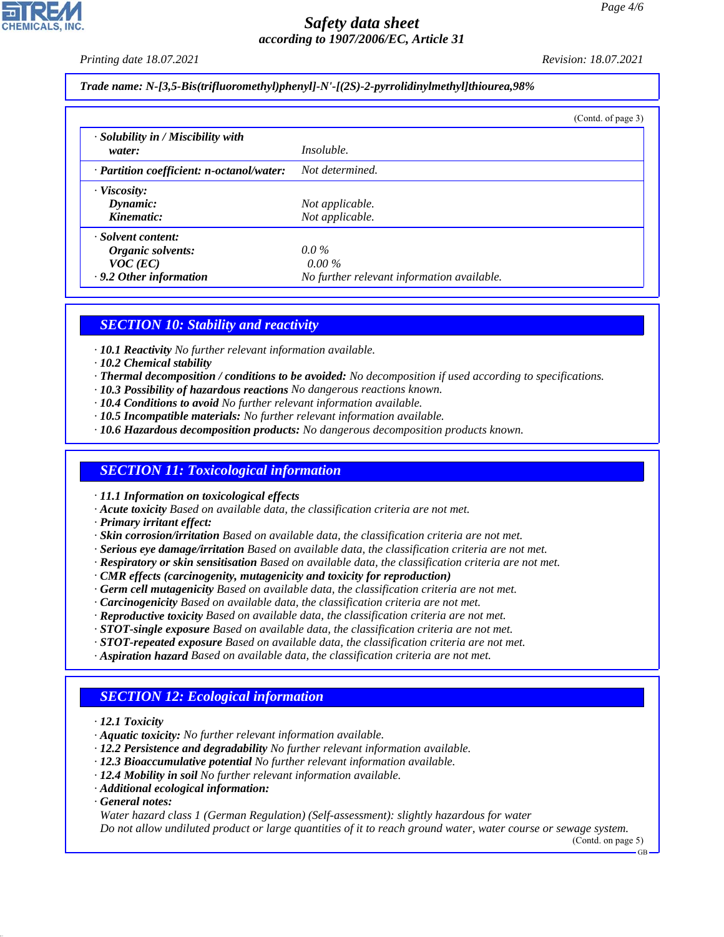*Printing date 18.07.2021 Revision: 18.07.2021*

*Trade name: N-[3,5-Bis(trifluoromethyl)phenyl]-N'-[(2S)-2-pyrrolidinylmethyl]thiourea,98%*

|                                                                                        | (Contd. of page 3)                                                |
|----------------------------------------------------------------------------------------|-------------------------------------------------------------------|
| · Solubility in / Miscibility with<br>water:                                           | <i>Insoluble.</i>                                                 |
| · Partition coefficient: n-octanol/water:                                              | Not determined.                                                   |
| $\cdot$ Viscosity:<br>Dynamic:<br>Kinematic:                                           | Not applicable.<br>Not applicable.                                |
| · Solvent content:<br>Organic solvents:<br>$VOC$ (EC)<br>$\cdot$ 9.2 Other information | $0.0\%$<br>$0.00\%$<br>No further relevant information available. |

## *SECTION 10: Stability and reactivity*

- *· 10.1 Reactivity No further relevant information available.*
- *· 10.2 Chemical stability*
- *· Thermal decomposition / conditions to be avoided: No decomposition if used according to specifications.*
- *· 10.3 Possibility of hazardous reactions No dangerous reactions known.*
- *· 10.4 Conditions to avoid No further relevant information available.*
- *· 10.5 Incompatible materials: No further relevant information available.*
- *· 10.6 Hazardous decomposition products: No dangerous decomposition products known.*

#### *SECTION 11: Toxicological information*

*· 11.1 Information on toxicological effects*

- *· Acute toxicity Based on available data, the classification criteria are not met.*
- *· Primary irritant effect:*
- *· Skin corrosion/irritation Based on available data, the classification criteria are not met.*
- *· Serious eye damage/irritation Based on available data, the classification criteria are not met.*
- *· Respiratory or skin sensitisation Based on available data, the classification criteria are not met.*
- *· CMR effects (carcinogenity, mutagenicity and toxicity for reproduction)*
- *· Germ cell mutagenicity Based on available data, the classification criteria are not met.*
- *· Carcinogenicity Based on available data, the classification criteria are not met.*
- *· Reproductive toxicity Based on available data, the classification criteria are not met.*
- *· STOT-single exposure Based on available data, the classification criteria are not met.*
- *· STOT-repeated exposure Based on available data, the classification criteria are not met.*
- *· Aspiration hazard Based on available data, the classification criteria are not met.*

## *SECTION 12: Ecological information*

- *· 12.1 Toxicity*
- *· Aquatic toxicity: No further relevant information available.*
- *· 12.2 Persistence and degradability No further relevant information available.*
- *· 12.3 Bioaccumulative potential No further relevant information available.*
- *· 12.4 Mobility in soil No further relevant information available.*
- *· Additional ecological information:*
- *· General notes:*

44.1.1

*Water hazard class 1 (German Regulation) (Self-assessment): slightly hazardous for water*

*Do not allow undiluted product or large quantities of it to reach ground water, water course or sewage system.*

(Contd. on page 5) GB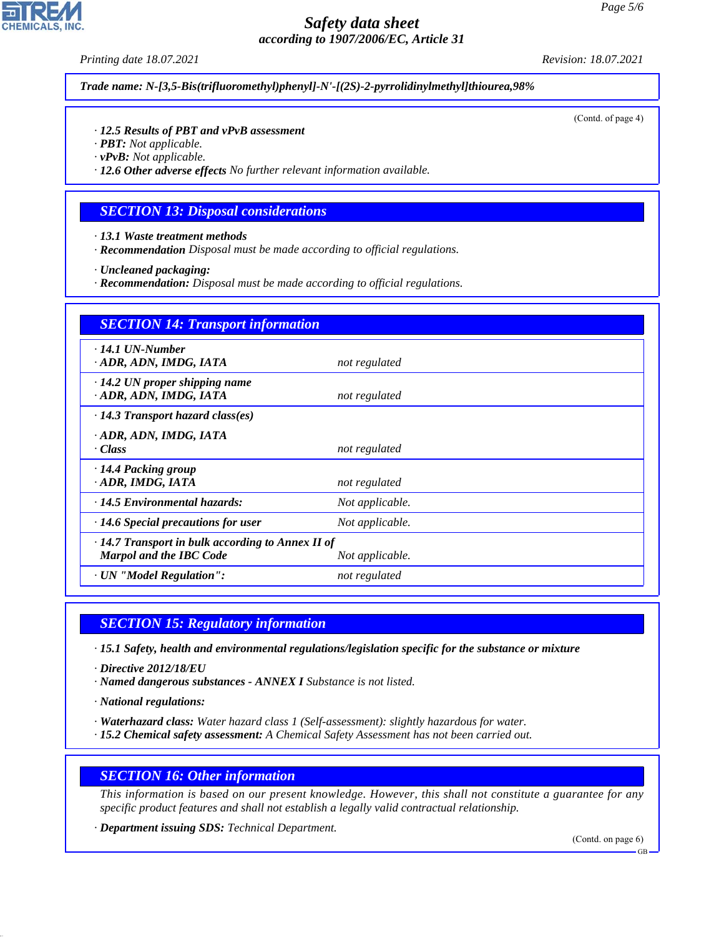*Printing date 18.07.2021 Revision: 18.07.2021*

*Trade name: N-[3,5-Bis(trifluoromethyl)phenyl]-N'-[(2S)-2-pyrrolidinylmethyl]thiourea,98%*

(Contd. of page 4)

#### *· 12.5 Results of PBT and vPvB assessment*

- *· PBT: Not applicable.*
- *· vPvB: Not applicable.*

*· 12.6 Other adverse effects No further relevant information available.*

#### *SECTION 13: Disposal considerations*

- *· 13.1 Waste treatment methods*
- *· Recommendation Disposal must be made according to official regulations.*
- *· Uncleaned packaging:*
- *· Recommendation: Disposal must be made according to official regulations.*

| <b>SECTION 14: Transport information</b>                                                                     |                 |  |
|--------------------------------------------------------------------------------------------------------------|-----------------|--|
| $\cdot$ 14.1 UN-Number<br>· ADR, ADN, IMDG, IATA                                                             | not regulated   |  |
| $\cdot$ 14.2 UN proper shipping name<br>· ADR, ADN, IMDG, IATA                                               | not regulated   |  |
| $\cdot$ 14.3 Transport hazard class(es)                                                                      |                 |  |
| · ADR, ADN, IMDG, IATA<br>· Class                                                                            | not regulated   |  |
| $\cdot$ 14.4 Packing group<br>ADR, IMDG, IATA                                                                | not regulated   |  |
| $\cdot$ 14.5 Environmental hazards:                                                                          | Not applicable. |  |
| $\cdot$ 14.6 Special precautions for user                                                                    | Not applicable. |  |
| $\cdot$ 14.7 Transport in bulk according to Annex II of<br><b>Marpol and the IBC Code</b><br>Not applicable. |                 |  |
| · UN "Model Regulation":                                                                                     | not regulated   |  |

### *SECTION 15: Regulatory information*

*· 15.1 Safety, health and environmental regulations/legislation specific for the substance or mixture*

- *· Directive 2012/18/EU*
- *· Named dangerous substances ANNEX I Substance is not listed.*
- *· National regulations:*

44.1.1

- *· Waterhazard class: Water hazard class 1 (Self-assessment): slightly hazardous for water.*
- *· 15.2 Chemical safety assessment: A Chemical Safety Assessment has not been carried out.*

#### *SECTION 16: Other information*

*This information is based on our present knowledge. However, this shall not constitute a guarantee for any specific product features and shall not establish a legally valid contractual relationship.*

*· Department issuing SDS: Technical Department.*

(Contd. on page 6)

GB